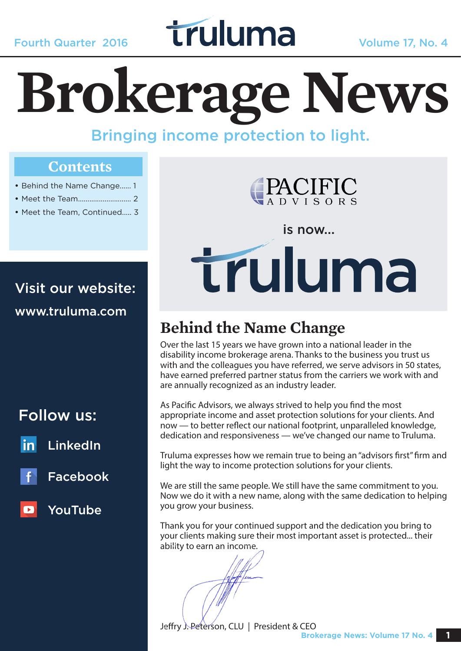## **Fourth Quarter 2016 Truluma** Volume 17, No. 4

# **Brokerage News**

Bringing income protection to light.

#### **Contents**

- Behind the Name Change...... 1
- Meet the Team............................ 2
- Meet the Team, Continued..... 3

Visit our website: www.truluma.com

Follow us:

LinkedIn



Facebook





is now...

# truluma

#### **Behind the Name Change**

Over the last 15 years we have grown into a national leader in the disability income brokerage arena. Thanks to the business you trust us with and the colleagues you have referred, we serve advisors in 50 states, have earned preferred partner status from the carriers we work with and are annually recognized as an industry leader.

As Pacific Advisors, we always strived to help you find the most appropriate income and asset protection solutions for your clients. And now — to better reflect our national footprint, unparalleled knowledge, dedication and responsiveness — we've changed our name to Truluma.

Truluma expresses how we remain true to being an "advisors first" firm and light the way to income protection solutions for your clients.

We are still the same people. We still have the same commitment to you. Now we do it with a new name, along with the same dedication to helping you grow your business.

Thank you for your continued support and the dedication you bring to your clients making sure their most important asset is protected... their ability to earn an income.

Jeffry J. Peterson, CLU | President & CEO **Brokerage News: Volume 17 No. 4 1**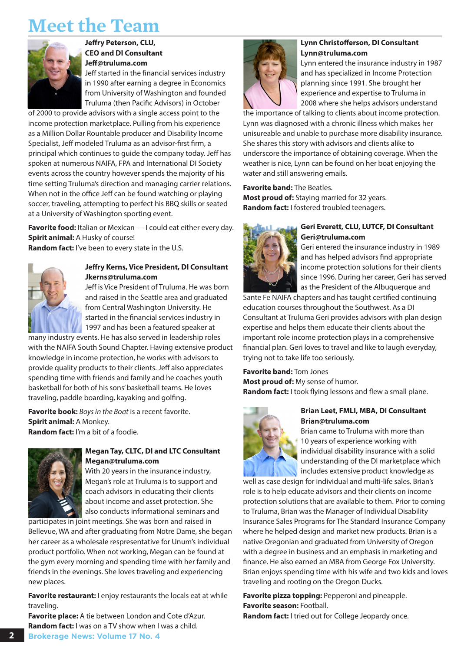#### **Meet the Team**



**Jeffry Peterson, CLU, CEO and DI Consultant Jeff@truluma.com**

Jeff started in the financial services industry in 1990 after earning a degree in Economics from University of Washington and founded Truluma (then Pacific Advisors) in October

of 2000 to provide advisors with a single access point to the income protection marketplace. Pulling from his experience as a Million Dollar Rountable producer and Disability Income Specialist, Jeff modeled Truluma as an advisor-first firm, a principal which continues to guide the company today. Jeff has spoken at numerous NAIFA, FPA and International DI Society events across the country however spends the majority of his time setting Truluma's direction and managing carrier relations. When not in the office Jeff can be found watching or playing soccer, traveling, attempting to perfect his BBQ skills or seated at a University of Washington sporting event.

**Favorite food:** Italian or Mexican — I could eat either every day. **Spirit animal:** A Husky of course! **Random fact:** I've been to every state in the U.S.



#### **Jeffry Kerns, Vice President, DI Consultant Jkerns@truluma.com**

Jeff is Vice President of Truluma. He was born and raised in the Seattle area and graduated from Central Washington University. He started in the financial services industry in 1997 and has been a featured speaker at

many industry events. He has also served in leadership roles with the NAIFA South Sound Chapter. Having extensive product knowledge in income protection, he works with advisors to provide quality products to their clients. Jeff also appreciates spending time with friends and family and he coaches youth basketball for both of his sons' basketball teams. He loves traveling, paddle boarding, kayaking and golfing.

**Favorite book:** *Boys in the Boat* is a recent favorite. **Spirit animal:** A Monkey. **Random fact:** I'm a bit of a foodie.



#### **Megan Tay, CLTC, DI and LTC Consultant Megan@truluma.com**

With 20 years in the insurance industry, Megan's role at Truluma is to support and coach advisors in educating their clients about income and asset protection. She also conducts informational seminars and

participates in joint meetings. She was born and raised in Bellevue, WA and after graduating from Notre Dame, she began her career as a wholesale respresentative for Unum's individual product portfolio. When not working, Megan can be found at the gym every morning and spending time with her family and friends in the evenings. She loves traveling and experiencing new places.

**Favorite restaurant:** I enjoy restaurants the locals eat at while traveling.

**Favorite place:** A tie between London and Cote d'Azur. **Random fact:** I was on a TV show when I was a child.



#### **Lynn Christofferson, DI Consultant Lynn@truluma.com**

Lynn entered the insurance industry in 1987 and has specialized in Income Protection planning since 1991. She brought her experience and expertise to Truluma in 2008 where she helps advisors understand

the importance of talking to clients about income protection. Lynn was diagnosed with a chronic illness which makes her unisureable and unable to purchase more disability insurance. She shares this story with advisors and clients alike to underscore the importance of obtaining coverage. When the weather is nice, Lynn can be found on her boat enjoying the water and still answering emails.

**Favorite band:** The Beatles. **Most proud of:** Staying married for 32 years. **Random fact:** I fostered troubled teenagers.



#### **Geri Everett, CLU, LUTCF, DI Consultant Geri@truluma.com**

Geri entered the insurance industry in 1989 and has helped advisors find appropriate income protection solutions for their clients since 1996. During her career, Geri has served as the President of the Albuquerque and

Sante Fe NAIFA chapters and has taught certified continuing education courses throughout the Southwest. As a DI Consultant at Truluma Geri provides advisors with plan design expertise and helps them educate their clients about the important role income protection plays in a comprehensive financial plan. Geri loves to travel and like to laugh everyday, trying not to take life too seriously.

**Favorite band:** Tom Jones **Most proud of:** My sense of humor. **Random fact:** I took flying lessons and flew a small plane.



#### **Brian Leet, FMLI, MBA, DI Consultant Brian@truluma.com**

Brian came to Truluma with more than 10 years of experience working with individual disability insurance with a solid understanding of the DI marketplace which includes extensive product knowledge as

well as case design for individual and multi-life sales. Brian's role is to help educate advisors and their clients on income protection solutions that are available to them. Prior to coming to Truluma, Brian was the Manager of Individual Disability Insurance Sales Programs for The Standard Insurance Company where he helped design and market new products. Brian is a native Oregonian and graduated from University of Oregon with a degree in business and an emphasis in marketing and finance. He also earned an MBA from George Fox University. Brian enjoys spending time with his wife and two kids and loves traveling and rooting on the Oregon Ducks.

Favorite pizza topping: Pepperoni and pineapple. **Favorite season:** Football.

**Random fact:** I tried out for College Jeopardy once.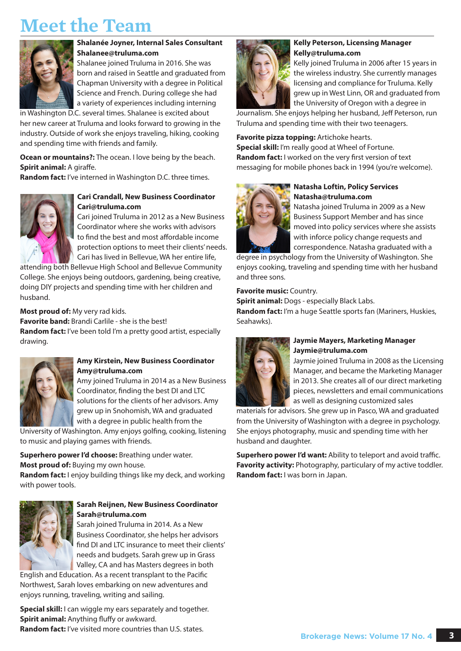### **Meet the Team**



#### **Shalanée Joyner, Internal Sales Consultant Shalanee@truluma.com**

Shalanee joined Truluma in 2016. She was born and raised in Seattle and graduated from Chapman University with a degree in Political Science and French. During college she had a variety of experiences including interning

in Washington D.C. several times. Shalanee is excited about her new career at Truluma and looks forward to growing in the industry. Outside of work she enjoys traveling, hiking, cooking and spending time with friends and family.

**Ocean or mountains?:** The ocean. I love being by the beach. **Spirit animal: A giraffe.** 

**Random fact:** I've interned in Washington D.C. three times.



#### **Cari Crandall, New Business Coordinator Cari@truluma.com**

Cari joined Truluma in 2012 as a New Business Coordinator where she works with advisors to find the best and most affordable income protection options to meet their clients' needs. Cari has lived in Bellevue, WA her entire life,

attending both Bellevue High School and Bellevue Community College. She enjoys being outdoors, gardening, being creative, doing DIY projects and spending time with her children and husband.

#### **Most proud of:** My very rad kids.

**Favorite band:** Brandi Carlile - she is the best! **Random fact:** I've been told I'm a pretty good artist, especially drawing.



#### **Amy Kirstein, New Business Coordinator Amy@truluma.com**

Amy joined Truluma in 2014 as a New Business Coordinator, finding the best DI and LTC solutions for the clients of her advisors. Amy grew up in Snohomish, WA and graduated with a degree in public health from the

University of Washington. Amy enjoys golfing, cooking, listening to music and playing games with friends.

**Superhero power I'd choose:** Breathing under water. **Most proud of:** Buying my own house.

**Random fact:** I enjoy building things like my deck, and working with power tools.



#### **Sarah Reijnen, New Business Coordinator Sarah@truluma.com**

Sarah joined Truluma in 2014. As a New Business Coordinator, she helps her advisors find DI and LTC insurance to meet their clients' needs and budgets. Sarah grew up in Grass Valley, CA and has Masters degrees in both

English and Education. As a recent transplant to the Pacific Northwest, Sarah loves embarking on new adventures and enjoys running, traveling, writing and sailing.

**Special skill:** I can wiggle my ears separately and together. **Spirit animal:** Anything fluffy or awkward. **Random fact:** I've visited more countries than U.S. states.



#### **Kelly Peterson, Licensing Manager Kelly@truluma.com**

Kelly joined Truluma in 2006 after 15 years in the wireless industry. She currently manages licensing and compliance for Truluma. Kelly grew up in West Linn, OR and graduated from the University of Oregon with a degree in

Journalism. She enjoys helping her husband, Jeff Peterson, run Truluma and spending time with their two teenagers.

**Favorite pizza topping:** Artichoke hearts.

**Special skill:** I'm really good at Wheel of Fortune. **Random fact:** I worked on the very first version of text messaging for mobile phones back in 1994 (you're welcome).



#### **Natasha Loftin, Policy Services Natasha@truluma.com**

Natasha joined Truluma in 2009 as a New Business Support Member and has since moved into policy services where she assists with inforce policy change requests and correspondence. Natasha graduated with a

degree in psychology from the University of Washington. She enjoys cooking, traveling and spending time with her husband and three sons.

#### **Favorite music:** Country.

**Spirit animal:** Dogs - especially Black Labs. **Random fact:** I'm a huge Seattle sports fan (Mariners, Huskies, Seahawks).



#### **Jaymie Mayers, Marketing Manager Jaymie@truluma.com**

Jaymie joined Truluma in 2008 as the Licensing Manager, and became the Marketing Manager in 2013. She creates all of our direct marketing pieces, newsletters and email communications as well as designing customized sales

materials for advisors. She grew up in Pasco, WA and graduated from the University of Washington with a degree in psychology. She enjoys photography, music and spending time with her husband and daughter.

**Superhero power I'd want:** Ability to teleport and avoid traffic. **Favority activity:** Photography, particulary of my active toddler. **Random fact:** I was born in Japan.